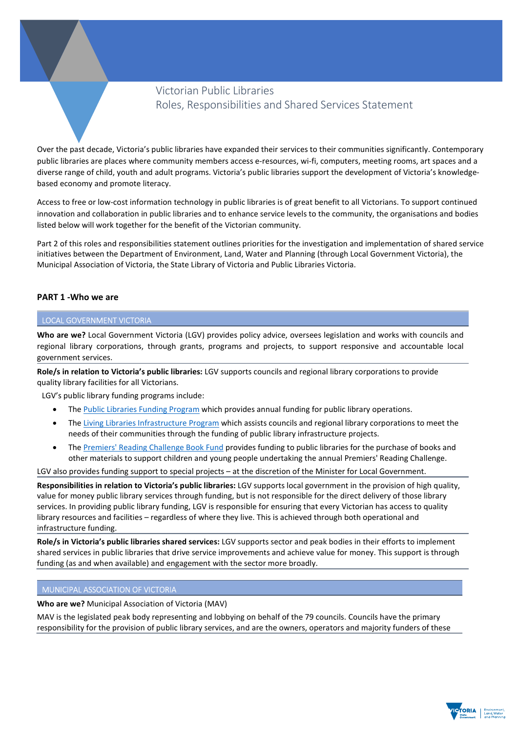# Victorian Public Libraries Roles, Responsibilities and Shared Services Statement

Over the past decade, Victoria's public libraries have expanded their services to their communities significantly. Contemporary public libraries are places where community members access e-resources, wi-fi, computers, meeting rooms, art spaces and a diverse range of child, youth and adult programs. Victoria's public libraries support the development of Victoria's knowledgebased economy and promote literacy.

Access to free or low-cost information technology in public libraries is of great benefit to all Victorians. To support continued innovation and collaboration in public libraries and to enhance service levels to the community, the organisations and bodies listed below will work together for the benefit of the Victorian community.

Part 2 of this roles and responsibilities statement outlines priorities for the investigation and implementation of shared service initiatives between the Department of Environment, Land, Water and Planning (through Local Government Victoria), the Municipal Association of Victoria, the State Library of Victoria and Public Libraries Victoria.

## PART 1 -Who we are

## LOCAL GOVERNMENT VICTORIA

Who are we? Local Government Victoria (LGV) provides policy advice, oversees legislation and works with councils and regional library corporations, through grants, programs and projects, to support responsive and accountable local government services.

Role/s in relation to Victoria's public libraries: LGV supports councils and regional library corporations to provide quality library facilities for all Victorians.

LGV's public library funding programs include:

- The Public Libraries Funding Program which provides annual funding for public library operations.
- The Living Libraries Infrastructure Program which assists councils and regional library corporations to meet the needs of their communities through the funding of public library infrastructure projects.
- The Premiers' Reading Challenge Book Fund provides funding to public libraries for the purchase of books and other materials to support children and young people undertaking the annual Premiers' Reading Challenge.

LGV also provides funding support to special projects – at the discretion of the Minister for Local Government.

Responsibilities in relation to Victoria's public libraries: LGV supports local government in the provision of high quality, value for money public library services through funding, but is not responsible for the direct delivery of those library services. In providing public library funding, LGV is responsible for ensuring that every Victorian has access to quality library resources and facilities – regardless of where they live. This is achieved through both operational and infrastructure funding.

Role/s in Victoria's public libraries shared services: LGV supports sector and peak bodies in their efforts to implement shared services in public libraries that drive service improvements and achieve value for money. This support is through funding (as and when available) and engagement with the sector more broadly.

## MUNICIPAL ASSOCIATION OF VICTORIA

Who are we? Municipal Association of Victoria (MAV)

MAV is the legislated peak body representing and lobbying on behalf of the 79 councils. Councils have the primary responsibility for the provision of public library services, and are the owners, operators and majority funders of these

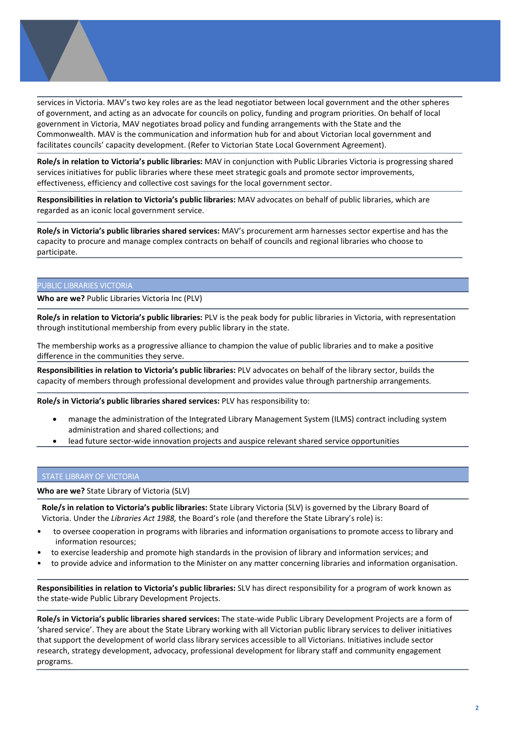services in Victoria. MAV's two key roles are as the lead negotiator between local government and the other spheres of government, and acting as an advocate for councils on policy, funding and program priorities. On behalf of local government in Victoria, MAV negotiates broad policy and funding arrangements with the State and the Commonwealth. MAV is the communication and information hub for and about Victorian local government and facilitates councils' capacity development. (Refer to Victorian State Local Government Agreement).

Role/s in relation to Victoria's public libraries: MAV in conjunction with Public Libraries Victoria is progressing shared services initiatives for public libraries where these meet strategic goals and promote sector improvements, effectiveness, efficiency and collective cost savings for the local government sector.

Responsibilities in relation to Victoria's public libraries: MAV advocates on behalf of public libraries, which are regarded as an iconic local government service.

Role/s in Victoria's public libraries shared services: MAV's procurement arm harnesses sector expertise and has the capacity to procure and manage complex contracts on behalf of councils and regional libraries who choose to participate.

#### PUBLIC LIBRARIES VICTORIA

Who are we? Public Libraries Victoria Inc (PLV)

Role/s in relation to Victoria's public libraries: PLV is the peak body for public libraries in Victoria, with representation through institutional membership from every public library in the state.

The membership works as a progressive alliance to champion the value of public libraries and to make a positive difference in the communities they serve.

Responsibilities in relation to Victoria's public libraries: PLV advocates on behalf of the library sector, builds the capacity of members through professional development and provides value through partnership arrangements.

Role/s in Victoria's public libraries shared services: PLV has responsibility to:

- manage the administration of the Integrated Library Management System (ILMS) contract including system administration and shared collections; and
- lead future sector-wide innovation projects and auspice relevant shared service opportunities

#### STATE LIBRARY OF VICTORIA

Who are we? State Library of Victoria (SLV)

Role/s in relation to Victoria's public libraries: State Library Victoria (SLV) is governed by the Library Board of Victoria. Under the Libraries Act 1988, the Board's role (and therefore the State Library's role) is:

- to oversee cooperation in programs with libraries and information organisations to promote access to library and information resources;
- to exercise leadership and promote high standards in the provision of library and information services; and
- to provide advice and information to the Minister on any matter concerning libraries and information organisation.

Responsibilities in relation to Victoria's public libraries: SLV has direct responsibility for a program of work known as the state-wide Public Library Development Projects.

Role/s in Victoria's public libraries shared services: The state-wide Public Library Development Projects are a form of 'shared service'. They are about the State Library working with all Victorian public library services to deliver initiatives that support the development of world class library services accessible to all Victorians. Initiatives include sector research, strategy development, advocacy, professional development for library staff and community engagement programs.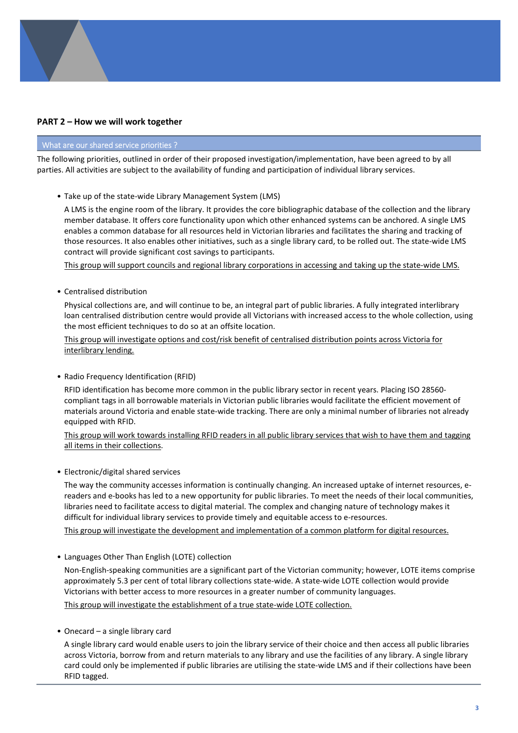# PART 2 – How we will work together

# What are our shared service priorities ?

The following priorities, outlined in order of their proposed investigation/implementation, have been agreed to by all parties. All activities are subject to the availability of funding and participation of individual library services.

• Take up of the state-wide Library Management System (LMS)

A LMS is the engine room of the library. It provides the core bibliographic database of the collection and the library member database. It offers core functionality upon which other enhanced systems can be anchored. A single LMS enables a common database for all resources held in Victorian libraries and facilitates the sharing and tracking of those resources. It also enables other initiatives, such as a single library card, to be rolled out. The state-wide LMS contract will provide significant cost savings to participants.

This group will support councils and regional library corporations in accessing and taking up the state-wide LMS.

• Centralised distribution

Physical collections are, and will continue to be, an integral part of public libraries. A fully integrated interlibrary loan centralised distribution centre would provide all Victorians with increased access to the whole collection, using the most efficient techniques to do so at an offsite location.

This group will investigate options and cost/risk benefit of centralised distribution points across Victoria for interlibrary lending.

• Radio Frequency Identification (RFID)

RFID identification has become more common in the public library sector in recent years. Placing ISO 28560 compliant tags in all borrowable materials in Victorian public libraries would facilitate the efficient movement of materials around Victoria and enable state-wide tracking. There are only a minimal number of libraries not already equipped with RFID.

This group will work towards installing RFID readers in all public library services that wish to have them and tagging all items in their collections.

• Electronic/digital shared services

The way the community accesses information is continually changing. An increased uptake of internet resources, ereaders and e-books has led to a new opportunity for public libraries. To meet the needs of their local communities, libraries need to facilitate access to digital material. The complex and changing nature of technology makes it difficult for individual library services to provide timely and equitable access to e-resources.

This group will investigate the development and implementation of a common platform for digital resources.

• Languages Other Than English (LOTE) collection

Non-English-speaking communities are a significant part of the Victorian community; however, LOTE items comprise approximately 5.3 per cent of total library collections state-wide. A state-wide LOTE collection would provide Victorians with better access to more resources in a greater number of community languages.

This group will investigate the establishment of a true state-wide LOTE collection.

• Onecard – a single library card

A single library card would enable users to join the library service of their choice and then access all public libraries across Victoria, borrow from and return materials to any library and use the facilities of any library. A single library card could only be implemented if public libraries are utilising the state-wide LMS and if their collections have been RFID tagged.